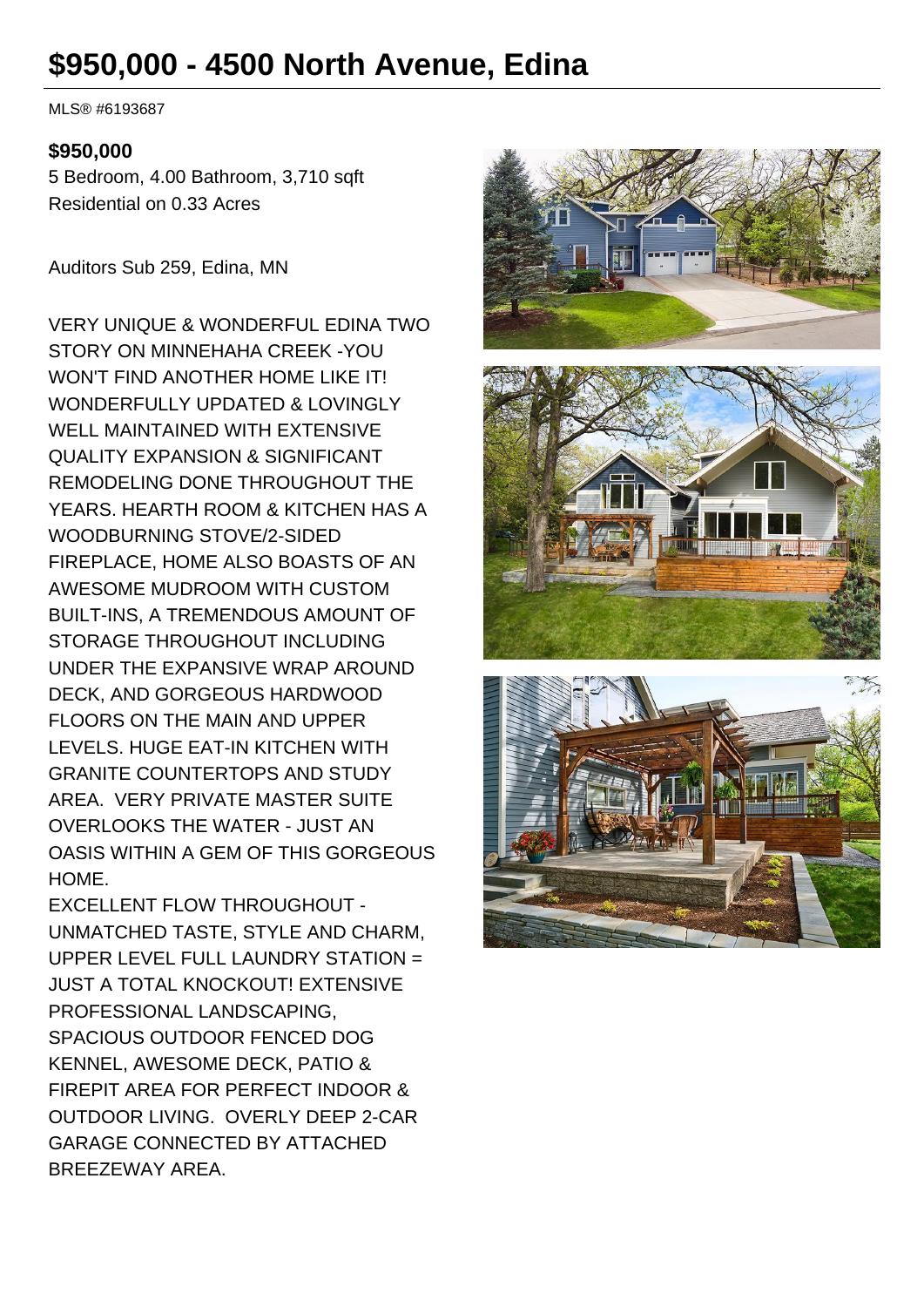# **\$950,000 - 4500 North Avenue, Edina**

MLS® #6193687

#### **\$950,000**

5 Bedroom, 4.00 Bathroom, 3,710 sqft Residential on 0.33 Acres

Auditors Sub 259, Edina, MN

VERY UNIQUE & WONDERFUL EDINA TWO STORY ON MINNEHAHA CREEK -YOU WON'T FIND ANOTHER HOME LIKE IT! WONDERFULLY UPDATED & LOVINGLY WELL MAINTAINED WITH EXTENSIVE QUALITY EXPANSION & SIGNIFICANT REMODELING DONE THROUGHOUT THE YEARS. HEARTH ROOM & KITCHEN HAS A WOODBURNING STOVE/2-SIDED FIREPLACE, HOME ALSO BOASTS OF AN AWESOME MUDROOM WITH CUSTOM BUILT-INS, A TREMENDOUS AMOUNT OF STORAGE THROUGHOUT INCLUDING UNDER THE EXPANSIVE WRAP AROUND DECK, AND GORGEOUS HARDWOOD FLOORS ON THE MAIN AND UPPER LEVELS. HUGE EAT-IN KITCHEN WITH GRANITE COUNTERTOPS AND STUDY AREA. VERY PRIVATE MASTER SUITE OVERLOOKS THE WATER - JUST AN OASIS WITHIN A GEM OF THIS GORGEOUS HOME.

EXCELLENT FLOW THROUGHOUT - UNMATCHED TASTE, STYLE AND CHARM, UPPER LEVEL FULL LAUNDRY STATION = JUST A TOTAL KNOCKOUT! EXTENSIVE PROFESSIONAL LANDSCAPING, SPACIOUS OUTDOOR FENCED DOG KENNEL, AWESOME DECK, PATIO & FIREPIT AREA FOR PERFECT INDOOR & OUTDOOR LIVING. OVERLY DEEP 2-CAR GARAGE CONNECTED BY ATTACHED BREEZEWAY AREA.





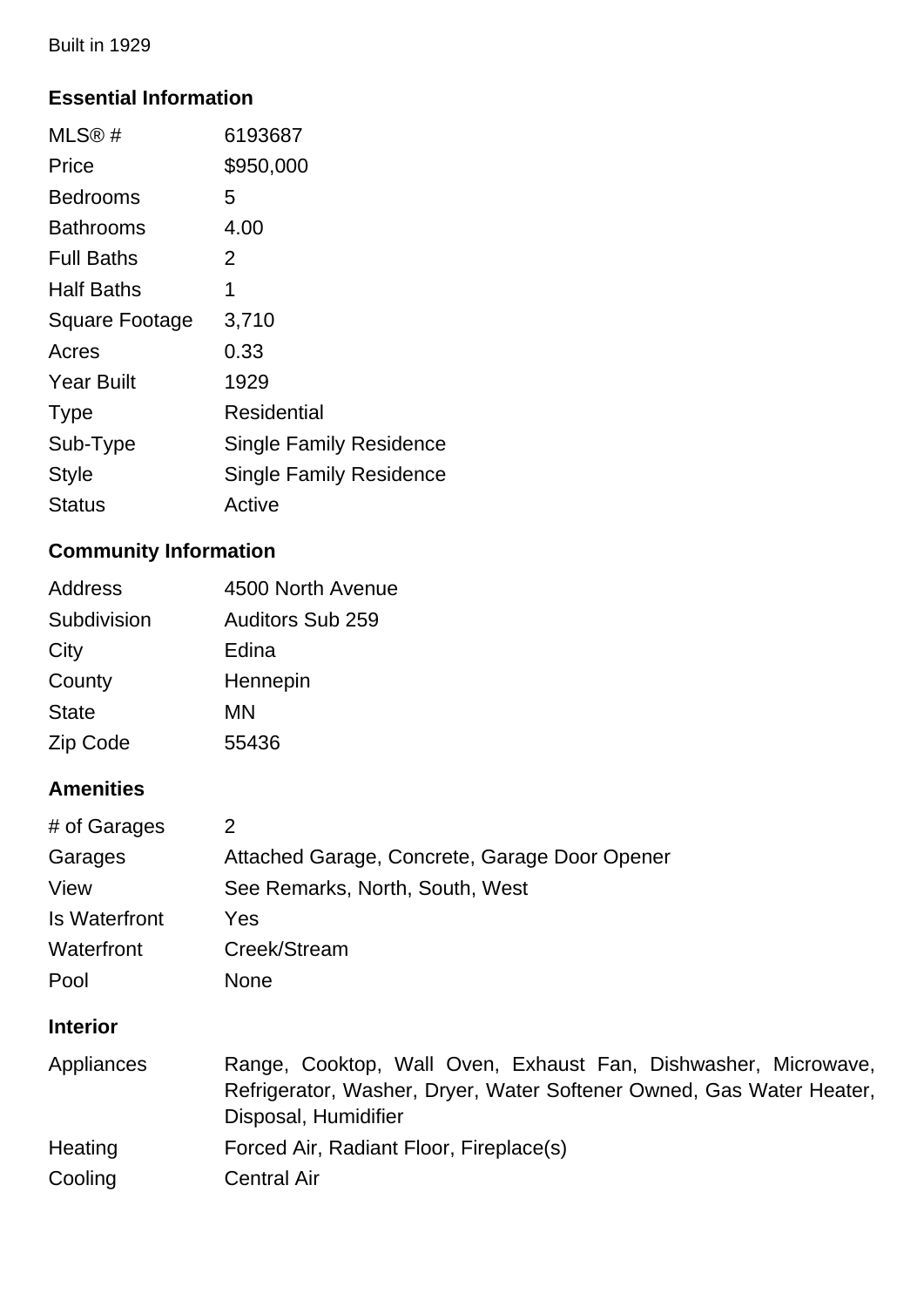Built in 1929

### **Essential Information**

| MLS@#                 | 6193687                        |
|-----------------------|--------------------------------|
| Price                 | \$950,000                      |
| <b>Bedrooms</b>       | 5                              |
| Bathrooms             | 4.00                           |
| <b>Full Baths</b>     | 2                              |
| <b>Half Baths</b>     | 1                              |
| <b>Square Footage</b> | 3,710                          |
| Acres                 | 0.33                           |
| <b>Year Built</b>     | 1929                           |
| <b>Type</b>           | Residential                    |
| Sub-Type              | <b>Single Family Residence</b> |
| <b>Style</b>          | <b>Single Family Residence</b> |
| Status                | Active                         |

## **Community Information**

| <b>Address</b> | 4500 North Avenue       |
|----------------|-------------------------|
| Subdivision    | <b>Auditors Sub 259</b> |
| City           | Edina                   |
| County         | Hennepin                |
| <b>State</b>   | ΜN                      |
| Zip Code       | 55436                   |

## **Amenities**

| # of Garages         | 2                                                                                                                                                              |
|----------------------|----------------------------------------------------------------------------------------------------------------------------------------------------------------|
| Garages              | Attached Garage, Concrete, Garage Door Opener                                                                                                                  |
| View                 | See Remarks, North, South, West                                                                                                                                |
| <b>Is Waterfront</b> | Yes                                                                                                                                                            |
| Waterfront           | Creek/Stream                                                                                                                                                   |
| Pool                 | <b>None</b>                                                                                                                                                    |
| <b>Interior</b>      |                                                                                                                                                                |
| Appliances           | Range, Cooktop, Wall Oven, Exhaust Fan, Dishwasher, Microwave,<br>Refrigerator, Washer, Dryer, Water Softener Owned, Gas Water Heater,<br>Disposal, Humidifier |
| Heating              | Forced Air, Radiant Floor, Fireplace(s)                                                                                                                        |
| Cooling              | <b>Central Air</b>                                                                                                                                             |